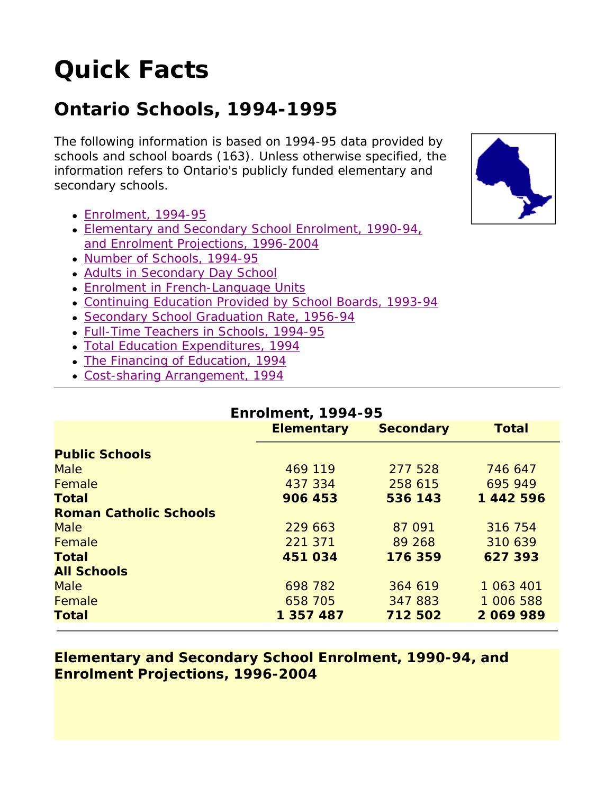# **Quick Facts**

## **Ontario Schools, 1994-1995**

The following information is based on 1994-95 data provided by schools and school boards (163). Unless otherwise specified, the information refers to Ontario's publicly funded elementary and secondary schools.

- Enrolment, 1994-95
- Elementary and Secondary School Enrolment, 1990-94, and Enrolment Projections, 1996-2004
- Number of Schools, 1994-95
- Adults in Secondary Day School
- Enrolment in French-Language Units
- Continuing Education Provided by School Boards, 1993-94
- Secondary School Graduation Rate, 1956-94
- Full-Time Teachers in Schools, 1994-95
- Total Education Expenditures, 1994
- The Financing of Education, 1994
- Cost-sharing Arrangement, 1994

| <b>Enrolment, 1994-95</b>     |                   |                  |              |  |
|-------------------------------|-------------------|------------------|--------------|--|
|                               | <b>Elementary</b> | <b>Secondary</b> | <b>Total</b> |  |
| <b>Public Schools</b>         |                   |                  |              |  |
| <b>Male</b>                   | 469 119           | 277 528          | 746 647      |  |
| Female                        | 437 334           | 258 615          | 695 949      |  |
| <b>Total</b>                  | 906 453           | 536 143          | 1 442 596    |  |
| <b>Roman Catholic Schools</b> |                   |                  |              |  |
| <b>Male</b>                   | 229 663           | 87 091           | 316 754      |  |
| Female                        | 221 371           | 89 268           | 310 639      |  |
| <b>Total</b>                  | 451034            | 176 359          | 627 393      |  |
| <b>All Schools</b>            |                   |                  |              |  |
| <b>Male</b>                   | 698 782           | 364 619          | 1 063 401    |  |
| Female                        | 658 705           | 347 883          | 1 006 588    |  |
| <b>Total</b>                  | 1 357 487         | 712 502          | 2069989      |  |
|                               |                   |                  |              |  |

#### **Elementary and Secondary School Enrolment, 1990-94, and Enrolment Projections, 1996-2004**

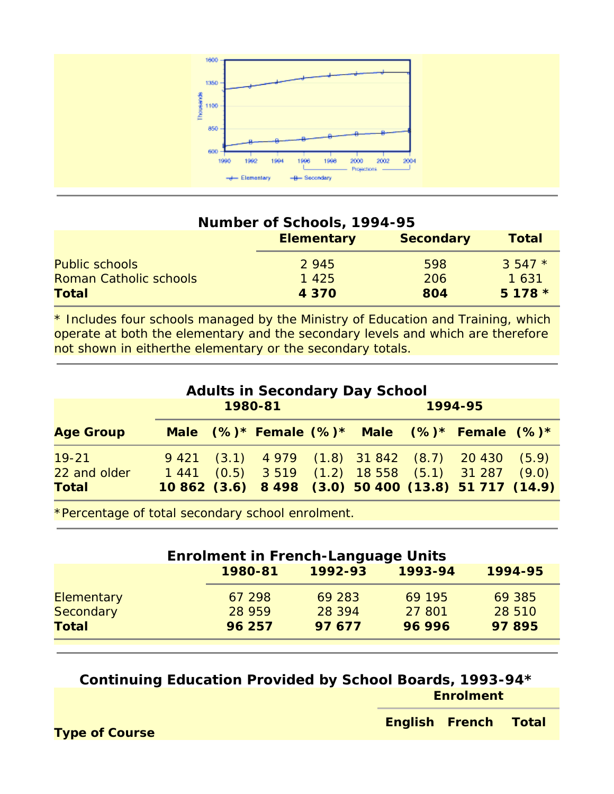

| Number of Schools, 1994-95    |                   |                  |              |  |  |
|-------------------------------|-------------------|------------------|--------------|--|--|
|                               | <b>Elementary</b> | <b>Secondary</b> | <b>Total</b> |  |  |
| <b>Public schools</b>         | 2 945             | 598              | $3547*$      |  |  |
| <b>Roman Catholic schools</b> | 1 4 2 5           | 206              | 1 631        |  |  |
| Total                         | 4 3 7 0           | 804              | $5178*$      |  |  |

\* Includes four schools managed by the Ministry of Education and Training, which operate at both the elementary and the secondary levels and which are therefore not shown in eitherthe elementary or the secondary totals.

| <b>Adults in Secondary Day School</b> |         |  |  |         |  |  |                                                             |  |
|---------------------------------------|---------|--|--|---------|--|--|-------------------------------------------------------------|--|
|                                       | 1980-81 |  |  | 1994-95 |  |  |                                                             |  |
| <b>Age Group</b>                      |         |  |  |         |  |  | Male $(\%)^*$ Female $(\%)^*$ Male $(\%)^*$ Female $(\%)^*$ |  |
| $19 - 21$                             |         |  |  |         |  |  | $9,421$ (3.1) $4,979$ (1.8) 31 842 (8.7) 20 430 (5.9)       |  |
| 22 and older                          |         |  |  |         |  |  | $1441$ (0.5) $3519$ (1.2) $18558$ (5.1) $31287$ (9.0)       |  |
| <b>Total</b>                          |         |  |  |         |  |  | 10 862 (3.6) 8 498 (3.0) 50 400 (13.8) 51 717 (14.9)        |  |

\*Percentage of total secondary school enrolment.

| <b>Enrolment in French-Language Units</b> |         |         |         |         |
|-------------------------------------------|---------|---------|---------|---------|
|                                           | 1980-81 | 1992-93 | 1993-94 | 1994-95 |
| <b>Elementary</b>                         | 67 298  | 69 283  | 69 195  | 69 385  |
| <b>Secondary</b>                          | 28 959  | 28 3 94 | 27 801  | 28 510  |
| <b>Total</b>                              | 96 257  | 97 677  | 96 996  | 97895   |

**Continuing Education Provided by School Boards, 1993-94\* Enrolment**

**Type of Course** <br> **English French Total** <br> **English French Total**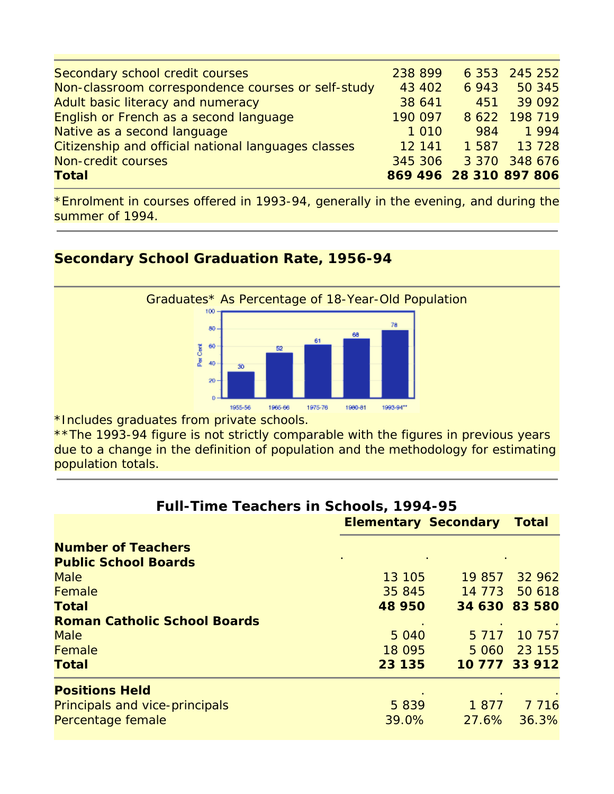| Secondary school credit courses                     | 238 899                |         | 6 353 245 252 |
|-----------------------------------------------------|------------------------|---------|---------------|
| Non-classroom correspondence courses or self-study  | 43 402                 | 6 9 4 3 | 50 345        |
| Adult basic literacy and numeracy                   | 38 641                 | 451     | 39 092        |
| English or French as a second language              | 190 097                |         | 8 622 198 719 |
| Native as a second language                         | 1 0 1 0                | 984     | 1 9 9 4       |
| Citizenship and official national languages classes | 12 141                 | 1 587   | 13 728        |
| Non-credit courses                                  | 345 306                |         | 3 370 348 676 |
| <b>Total</b>                                        | 869 496 28 310 897 806 |         |               |

\*Enrolment in courses offered in 1993-94, generally in the evening, and during the summer of 1994.

#### **Secondary School Graduation Rate, 1956-94**



\*Includes graduates from private schools.

\*\*The 1993-94 figure is not strictly comparable with the figures in previous years due to a change in the definition of population and the methodology for estimating population totals.

| <b>Full-Time Teachers in Schools, 1994-95</b> |                             |          |               |
|-----------------------------------------------|-----------------------------|----------|---------------|
|                                               | <b>Elementary Secondary</b> |          | <b>Total</b>  |
| <b>Number of Teachers</b>                     |                             |          |               |
| <b>Public School Boards</b>                   |                             |          |               |
| <b>Male</b>                                   | 13 105                      | 19 857   | 32 962        |
| Female                                        | 35 845                      | 14 7 7 3 | 50 618        |
| <b>Total</b>                                  | 48 950                      |          | 34 630 83 580 |
| <b>Roman Catholic School Boards</b>           |                             |          |               |
| <b>Male</b>                                   | 5 0 4 0                     | 5 7 1 7  | 10 757        |
| Female                                        | 18 0 95                     | 5 0 6 0  | 23 155        |
| <b>Total</b>                                  | 23 135                      |          | 10 777 33 912 |
| <b>Positions Held</b>                         |                             |          |               |
| Principals and vice-principals                | 5839                        | 1877     | 7 7 1 6       |
| Percentage female                             | 39.0%                       | 27.6%    | 36.3%         |

#### **Full-Time Teachers in Schools, 1994-95**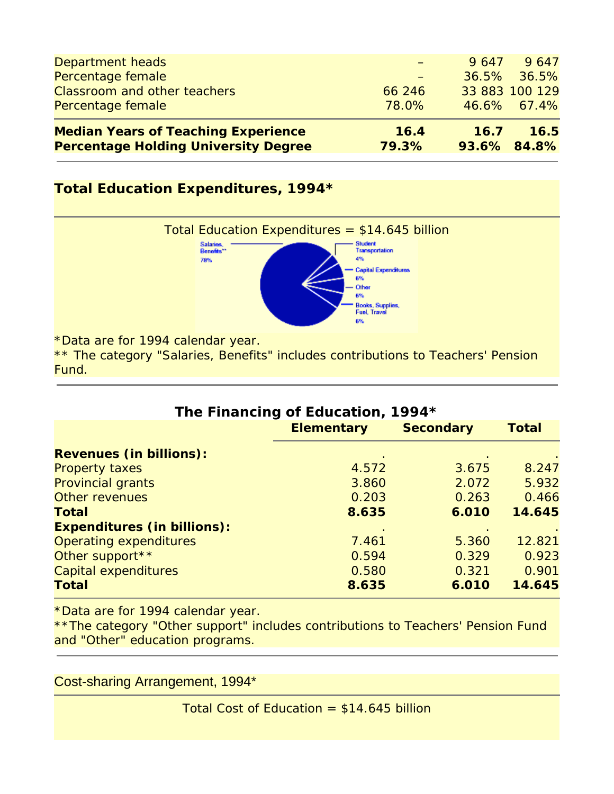| 16.4<br>79.3% | 16.7  | <b>16.5</b><br>93.6% 84.8% |
|---------------|-------|----------------------------|
| 78.0%         |       | 46.6% 67.4%                |
| 66 246        |       | 33 883 100 129             |
|               |       | $36.5\%$ 36.5%             |
|               | 9.647 | 9647                       |
|               |       |                            |

#### **Total Education Expenditures, 1994\***



\*Data are for 1994 calendar year.

\*\* The category "Salaries, Benefits" includes contributions to Teachers' Pension Fund.

| The Financing of Education, 1994*  |                   |                  |              |  |  |
|------------------------------------|-------------------|------------------|--------------|--|--|
|                                    | <b>Elementary</b> | <b>Secondary</b> | <b>Total</b> |  |  |
| <b>Revenues (in billions):</b>     |                   |                  |              |  |  |
| <b>Property taxes</b>              | 4.572             | 3.675            | 8.247        |  |  |
| Provincial grants                  | 3.860             | 2.072            | 5.932        |  |  |
| Other revenues                     | 0.203             | 0.263            | 0.466        |  |  |
| Total                              | 8.635             | 6.010            | 14.645       |  |  |
| <b>Expenditures (in billions):</b> |                   |                  |              |  |  |
| Operating expenditures             | 7.461             | 5.360            | 12.821       |  |  |
| Other support**                    | 0.594             | 0.329            | 0.923        |  |  |
| Capital expenditures               | 0.580             | 0.321            | 0.901        |  |  |
| <b>Total</b>                       | 8.635             | 6.010            | 14.645       |  |  |

\*Data are for 1994 calendar year.

\*\*The category "Other support" includes contributions to Teachers' Pension Fund and "Other" education programs.

### Cost-sharing Arrangement, 1994\*

Total Cost of Education  $= $14.645$  billion